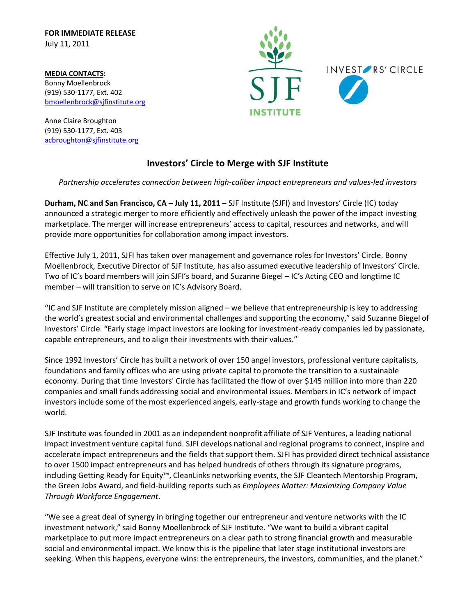**FOR IMMEDIATE RELEASE** July 11, 2011

**MEDIA CONTACTS:** Bonny Moellenbrock (919) 530-1177, Ext. 402 [bmoellenbrock@sjfinstitute.org](mailto:bmoellenbrock@sjfinstitute.org)

Anne Claire Broughton (919) 530-1177, Ext. 403 [acbroughton@sjfinstitute.org](mailto:acbroughton@sjfinstitute.org)



## **Investors' Circle to Merge with SJF Institute**

*Partnership accelerates connection between high-caliber impact entrepreneurs and values-led investors* 

**Durham, NC and San Francisco, CA – July 11, 2011 –** SJF Institute (SJFI) and Investors' Circle (IC) today announced a strategic merger to more efficiently and effectively unleash the power of the impact investing marketplace. The merger will increase entrepreneurs' access to capital, resources and networks, and will provide more opportunities for collaboration among impact investors.

Effective July 1, 2011, SJFI has taken over management and governance roles for Investors' Circle. Bonny Moellenbrock, Executive Director of SJF Institute, has also assumed executive leadership of Investors' Circle. Two of IC's board members will join SJFI's board, and Suzanne Biegel – IC's Acting CEO and longtime IC member – will transition to serve on IC's Advisory Board.

"IC and SJF Institute are completely mission aligned – we believe that entrepreneurship is key to addressing the world's greatest social and environmental challenges and supporting the economy," said Suzanne Biegel of Investors' Circle. "Early stage impact investors are looking for investment-ready companies led by passionate, capable entrepreneurs, and to align their investments with their values."

Since 1992 Investors' Circle has built a network of over 150 angel investors, professional venture capitalists, foundations and family offices who are using private capital to promote the transition to a sustainable economy. During that time Investors' Circle has facilitated the flow of over \$145 million into more than 220 companies and small funds addressing social and environmental issues. Members in IC's network of impact investors include some of the most experienced angels, early-stage and growth funds working to change the world.

SJF Institute was founded in 2001 as an independent nonprofit affiliate of SJF Ventures, a leading national impact investment venture capital fund. SJFI develops national and regional programs to connect, inspire and accelerate impact entrepreneurs and the fields that support them. SJFI has provided direct technical assistance to over 1500 impact entrepreneurs and has helped hundreds of others through its signature programs, including Getting Ready for Equity™, CleanLinks networking events, the SJF Cleantech Mentorship Program, the Green Jobs Award, and field-building reports such as *Employees Matter: Maximizing Company Value Through Workforce Engagement*.

"We see a great deal of synergy in bringing together our entrepreneur and venture networks with the IC investment network," said Bonny Moellenbrock of SJF Institute. "We want to build a vibrant capital marketplace to put more impact entrepreneurs on a clear path to strong financial growth and measurable social and environmental impact. We know this is the pipeline that later stage institutional investors are seeking. When this happens, everyone wins: the entrepreneurs, the investors, communities, and the planet."